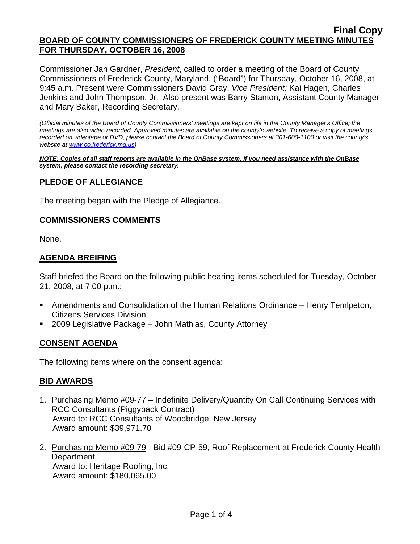Commissioner Jan Gardner, *President*, called to order a meeting of the Board of County Commissioners of Frederick County, Maryland, ("Board") for Thursday, October 16, 2008, at 9:45 a.m. Present were Commissioners David Gray, *Vice President;* Kai Hagen, Charles Jenkins and John Thompson, Jr. Also present was Barry Stanton, Assistant County Manager and Mary Baker, Recording Secretary.

*(Official minutes of the Board of County Commissioners' meetings are kept on file in the County Manager's Office; the meetings are also video recorded. Approved minutes are available on the county's website. To receive a copy of meetings recorded on videotape or DVD, please contact the Board of County Commissioners at 301-600-1100 or visit the county's website at [www.co.frederick.md.us](http://www.co.frederick.md.us/))* 

*NOTE: Copies of all staff reports are available in the OnBase system. If you need assistance with the OnBase system, please contact the recording secretary.*

### **PLEDGE OF ALLEGIANCE**

The meeting began with the Pledge of Allegiance.

#### **COMMISSIONERS COMMENTS**

None.

### **AGENDA BREIFING**

Staff briefed the Board on the following public hearing items scheduled for Tuesday, October 21, 2008, at 7:00 p.m.:

- Amendments and Consolidation of the Human Relations Ordinance Henry Temlpeton, Citizens Services Division
- 2009 Legislative Package John Mathias, County Attorney

### **CONSENT AGENDA**

The following items where on the consent agenda:

### **BID AWARDS**

- 1. Purchasing Memo #09-77 Indefinite Delivery/Quantity On Call Continuing Services with RCC Consultants (Piggyback Contract) Award to: RCC Consultants of Woodbridge, New Jersey Award amount: \$39,971.70
- 2. Purchasing Memo #09-79 Bid #09-CP-59, Roof Replacement at Frederick County Health **Department**  Award to: Heritage Roofing, Inc. Award amount: \$180,065.00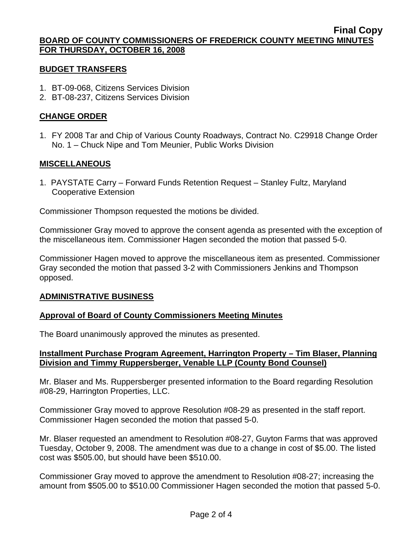#### **BUDGET TRANSFERS**

- 1. BT-09-068, Citizens Services Division
- 2. BT-08-237, Citizens Services Division

## **CHANGE ORDER**

1. FY 2008 Tar and Chip of Various County Roadways, Contract No. C29918 Change Order No. 1 – Chuck Nipe and Tom Meunier, Public Works Division

## **MISCELLANEOUS**

1. PAYSTATE Carry – Forward Funds Retention Request – Stanley Fultz, Maryland Cooperative Extension

Commissioner Thompson requested the motions be divided.

Commissioner Gray moved to approve the consent agenda as presented with the exception of the miscellaneous item. Commissioner Hagen seconded the motion that passed 5-0.

Commissioner Hagen moved to approve the miscellaneous item as presented. Commissioner Gray seconded the motion that passed 3-2 with Commissioners Jenkins and Thompson opposed.

### **ADMINISTRATIVE BUSINESS**

### **Approval of Board of County Commissioners Meeting Minutes**

The Board unanimously approved the minutes as presented.

### **Installment Purchase Program Agreement, Harrington Property – Tim Blaser, Planning Division and Timmy Ruppersberger, Venable LLP (County Bond Counsel)**

Mr. Blaser and Ms. Ruppersberger presented information to the Board regarding Resolution #08-29, Harrington Properties, LLC.

Commissioner Gray moved to approve Resolution #08-29 as presented in the staff report. Commissioner Hagen seconded the motion that passed 5-0.

Mr. Blaser requested an amendment to Resolution #08-27, Guyton Farms that was approved Tuesday, October 9, 2008. The amendment was due to a change in cost of \$5.00. The listed cost was \$505.00, but should have been \$510.00.

Commissioner Gray moved to approve the amendment to Resolution #08-27; increasing the amount from \$505.00 to \$510.00 Commissioner Hagen seconded the motion that passed 5-0.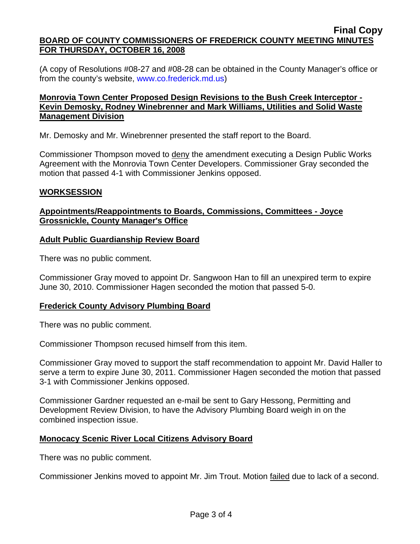(A copy of Resolutions #08-27 and #08-28 can be obtained in the County Manager's office or from the county's website, <www.co.frederick.md.us>)

## **Monrovia Town Center Proposed Design Revisions to the Bush Creek Interceptor - Kevin Demosky, Rodney Winebrenner and Mark Williams, Utilities and Solid Waste Management Division**

Mr. Demosky and Mr. Winebrenner presented the staff report to the Board.

Commissioner Thompson moved to deny the amendment executing a Design Public Works Agreement with the Monrovia Town Center Developers. Commissioner Gray seconded the motion that passed 4-1 with Commissioner Jenkins opposed.

### **WORKSESSION**

## **Appointments/Reappointments to Boards, Commissions, Committees - Joyce Grossnickle, County Manager's Office**

## **Adult Public Guardianship Review Board**

There was no public comment.

Commissioner Gray moved to appoint Dr. Sangwoon Han to fill an unexpired term to expire June 30, 2010. Commissioner Hagen seconded the motion that passed 5-0.

### **Frederick County Advisory Plumbing Board**

There was no public comment.

Commissioner Thompson recused himself from this item.

Commissioner Gray moved to support the staff recommendation to appoint Mr. David Haller to serve a term to expire June 30, 2011. Commissioner Hagen seconded the motion that passed 3-1 with Commissioner Jenkins opposed.

Commissioner Gardner requested an e-mail be sent to Gary Hessong, Permitting and Development Review Division, to have the Advisory Plumbing Board weigh in on the combined inspection issue.

# **Monocacy Scenic River Local Citizens Advisory Board**

There was no public comment.

Commissioner Jenkins moved to appoint Mr. Jim Trout. Motion failed due to lack of a second.